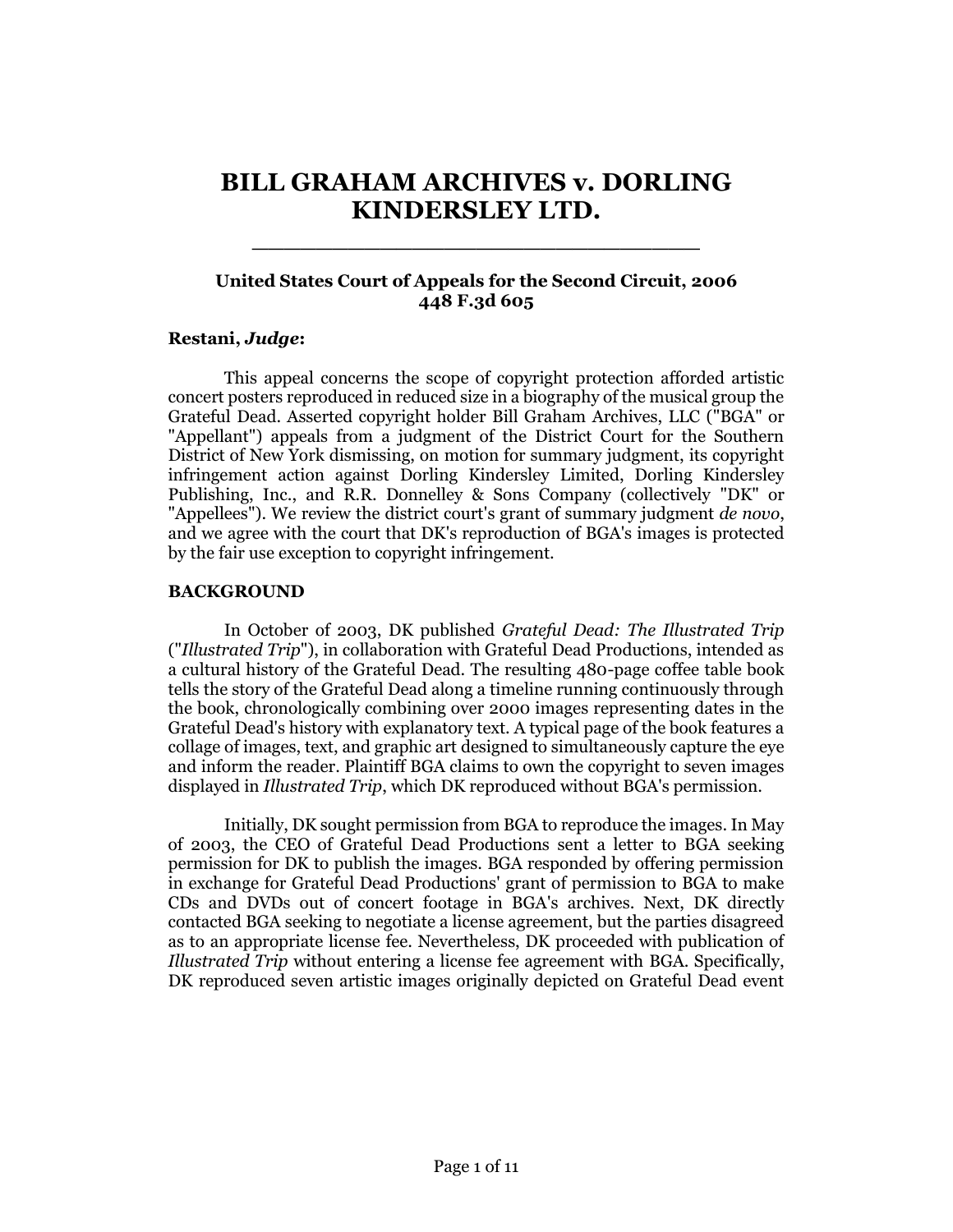# **BILL GRAHAM ARCHIVES v. DORLING KINDERSLEY LTD.**

\_\_\_\_\_\_\_\_\_\_\_\_\_\_\_\_\_\_\_\_\_\_\_\_\_\_\_\_

# **United States Court of Appeals for the Second Circuit, 2006 448 F.3d 605**

#### **Restani,** *Judge***:**

This appeal concerns the scope of copyright protection afforded artistic concert posters reproduced in reduced size in a biography of the musical group the Grateful Dead. Asserted copyright holder Bill Graham Archives, LLC ("BGA" or "Appellant") appeals from a judgment of the District Court for the Southern District of New York dismissing, on motion for summary judgment, its copyright infringement action against Dorling Kindersley Limited, Dorling Kindersley Publishing, Inc., and R.R. Donnelley & Sons Company (collectively "DK" or "Appellees"). We review the district court's grant of summary judgment *de novo*, and we agree with the court that DK's reproduction of BGA's images is protected by the fair use exception to copyright infringement.

#### **BACKGROUND**

In October of 2003, DK published *Grateful Dead: The Illustrated Trip* ("*Illustrated Trip*"), in collaboration with Grateful Dead Productions, intended as a cultural history of the Grateful Dead. The resulting 480-page coffee table book tells the story of the Grateful Dead along a timeline running continuously through the book, chronologically combining over 2000 images representing dates in the Grateful Dead's history with explanatory text. A typical page of the book features a collage of images, text, and graphic art designed to simultaneously capture the eye and inform the reader. Plaintiff BGA claims to own the copyright to seven images displayed in *Illustrated Trip*, which DK reproduced without BGA's permission.

Initially, DK sought permission from BGA to reproduce the images. In May of 2003, the CEO of Grateful Dead Productions sent a letter to BGA seeking permission for DK to publish the images. BGA responded by offering permission in exchange for Grateful Dead Productions' grant of permission to BGA to make CDs and DVDs out of concert footage in BGA's archives. Next, DK directly contacted BGA seeking to negotiate a license agreement, but the parties disagreed as to an appropriate license fee. Nevertheless, DK proceeded with publication of *Illustrated Trip* without entering a license fee agreement with BGA. Specifically, DK reproduced seven artistic images originally depicted on Grateful Dead event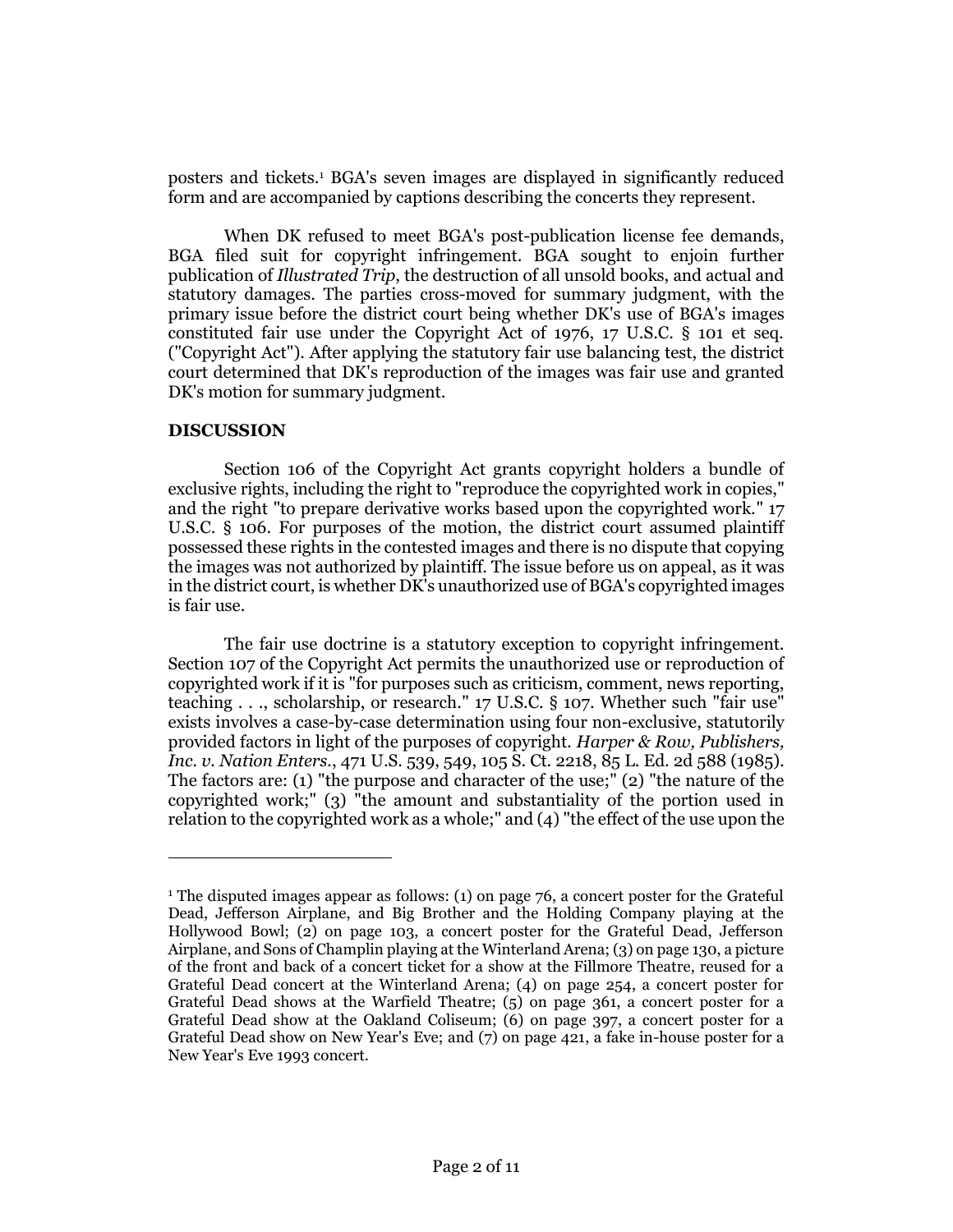posters and tickets.<sup>1</sup> BGA's seven images are displayed in significantly reduced form and are accompanied by captions describing the concerts they represent.

When DK refused to meet BGA's post-publication license fee demands, BGA filed suit for copyright infringement. BGA sought to enjoin further publication of *Illustrated Trip*, the destruction of all unsold books, and actual and statutory damages. The parties cross-moved for summary judgment, with the primary issue before the district court being whether DK's use of BGA's images constituted fair use under the Copyright Act of 1976, 17 U.S.C. § 101 et seq. ("Copyright Act"). After applying the statutory fair use balancing test, the district court determined that DK's reproduction of the images was fair use and granted DK's motion for summary judgment.

#### **DISCUSSION**

 $\overline{a}$ 

Section 106 of the Copyright Act grants copyright holders a bundle of exclusive rights, including the right to "reproduce the copyrighted work in copies," and the right "to prepare derivative works based upon the copyrighted work." 17 U.S.C. § 106. For purposes of the motion, the district court assumed plaintiff possessed these rights in the contested images and there is no dispute that copying the images was not authorized by plaintiff. The issue before us on appeal, as it was in the district court, is whether DK's unauthorized use of BGA's copyrighted images is fair use.

The fair use doctrine is a statutory exception to copyright infringement. Section 107 of the Copyright Act permits the unauthorized use or reproduction of copyrighted work if it is "for purposes such as criticism, comment, news reporting, teaching . . ., scholarship, or research." 17 U.S.C. § 107. Whether such "fair use" exists involves a case-by-case determination using four non-exclusive, statutorily provided factors in light of the purposes of copyright. *Harper & Row, Publishers, Inc. v. Nation Enters.*, 471 U.S. 539, 549, 105 S. Ct. 2218, 85 L. Ed. 2d 588 (1985). The factors are: (1) "the purpose and character of the use;" (2) "the nature of the copyrighted work;" (3) "the amount and substantiality of the portion used in relation to the copyrighted work as a whole;" and (4) "the effect of the use upon the

<sup>1</sup> The disputed images appear as follows: (1) on page 76, a concert poster for the Grateful Dead, Jefferson Airplane, and Big Brother and the Holding Company playing at the Hollywood Bowl; (2) on page 103, a concert poster for the Grateful Dead, Jefferson Airplane, and Sons of Champlin playing at the Winterland Arena; (3) on page 130, a picture of the front and back of a concert ticket for a show at the Fillmore Theatre, reused for a Grateful Dead concert at the Winterland Arena; (4) on page 254, a concert poster for Grateful Dead shows at the Warfield Theatre; (5) on page 361, a concert poster for a Grateful Dead show at the Oakland Coliseum; (6) on page 397, a concert poster for a Grateful Dead show on New Year's Eve; and (7) on page 421, a fake in-house poster for a New Year's Eve 1993 concert.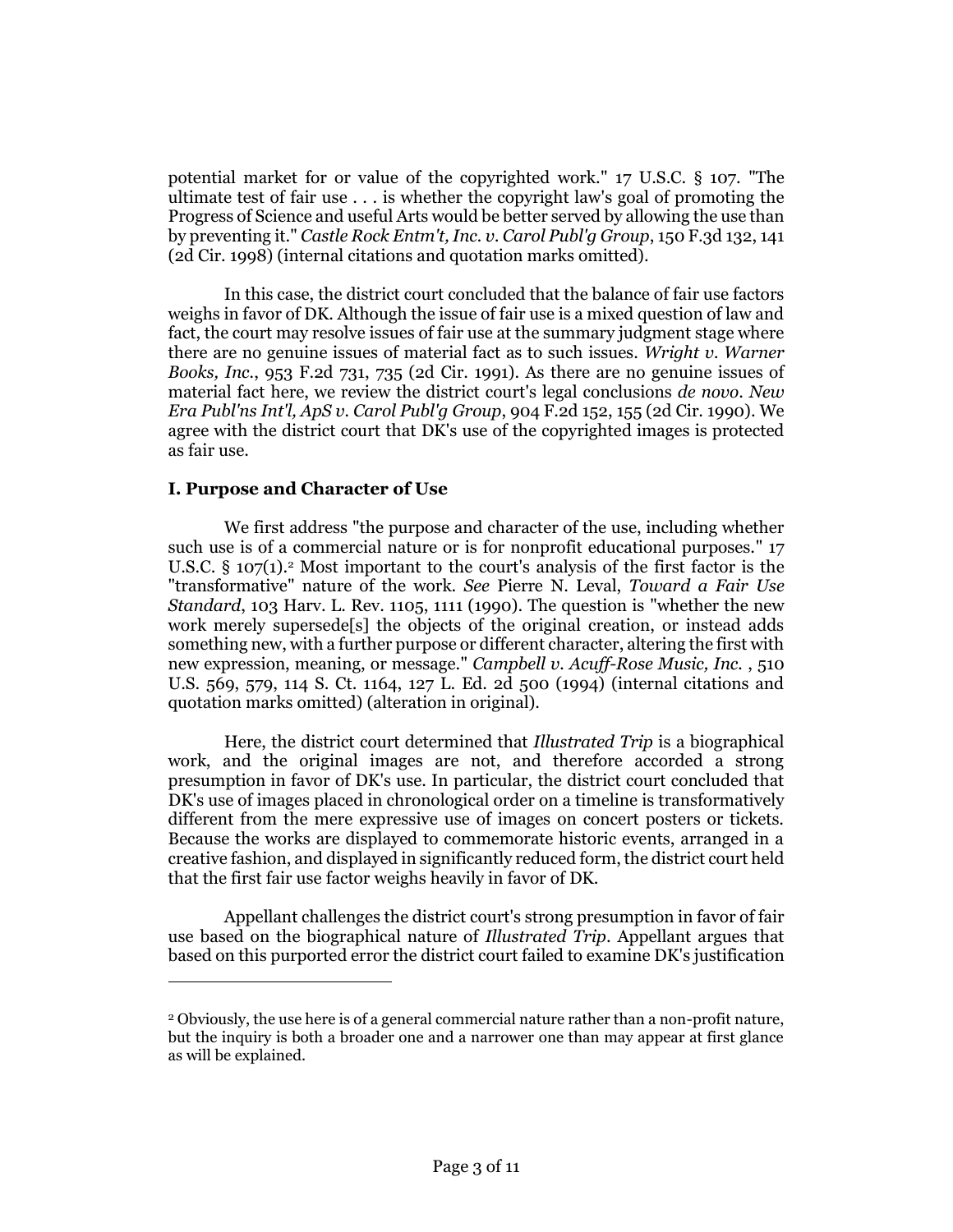potential market for or value of the copyrighted work." 17 U.S.C. § 107. "The ultimate test of fair use . . . is whether the copyright law's goal of promoting the Progress of Science and useful Arts would be better served by allowing the use than by preventing it." *Castle Rock Entm't, Inc. v. Carol Publ'g Group*, 150 F.3d 132, 141 (2d Cir. 1998) (internal citations and quotation marks omitted).

In this case, the district court concluded that the balance of fair use factors weighs in favor of DK. Although the issue of fair use is a mixed question of law and fact, the court may resolve issues of fair use at the summary judgment stage where there are no genuine issues of material fact as to such issues. *Wright v. Warner Books, Inc.*, 953 F.2d 731, 735 (2d Cir. 1991). As there are no genuine issues of material fact here, we review the district court's legal conclusions *de novo*. *New Era Publ'ns Int'l, ApS v. Carol Publ'g Group*, 904 F.2d 152, 155 (2d Cir. 1990). We agree with the district court that DK's use of the copyrighted images is protected as fair use.

# **I. Purpose and Character of Use**

 $\overline{a}$ 

We first address "the purpose and character of the use, including whether such use is of a commercial nature or is for nonprofit educational purposes." 17 U.S.C.  $\S$  107(1).<sup>2</sup> Most important to the court's analysis of the first factor is the "transformative" nature of the work. *See* Pierre N. Leval, *Toward a Fair Use Standard*, 103 Harv. L. Rev. 1105, 1111 (1990). The question is "whether the new work merely supersede[s] the objects of the original creation, or instead adds something new, with a further purpose or different character, altering the first with new expression, meaning, or message." *Campbell v. Acuff-Rose Music, Inc.* , 510 U.S. 569, 579, 114 S. Ct. 1164, 127 L. Ed. 2d 500 (1994) (internal citations and quotation marks omitted) (alteration in original).

Here, the district court determined that *Illustrated Trip* is a biographical work, and the original images are not, and therefore accorded a strong presumption in favor of DK's use. In particular, the district court concluded that DK's use of images placed in chronological order on a timeline is transformatively different from the mere expressive use of images on concert posters or tickets. Because the works are displayed to commemorate historic events, arranged in a creative fashion, and displayed in significantly reduced form, the district court held that the first fair use factor weighs heavily in favor of DK.

Appellant challenges the district court's strong presumption in favor of fair use based on the biographical nature of *Illustrated Trip*. Appellant argues that based on this purported error the district court failed to examine DK's justification

<sup>2</sup> Obviously, the use here is of a general commercial nature rather than a non-profit nature, but the inquiry is both a broader one and a narrower one than may appear at first glance as will be explained.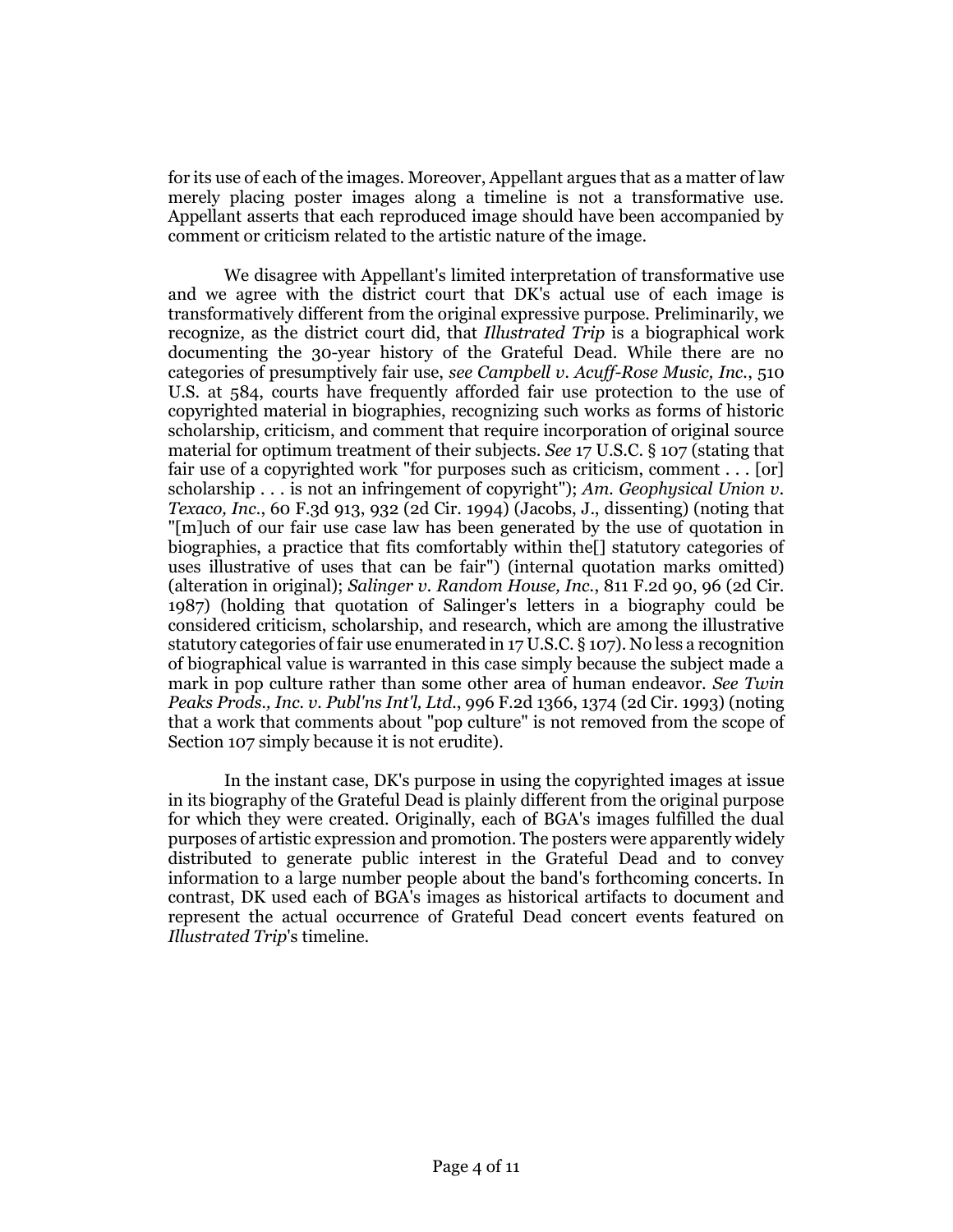for its use of each of the images. Moreover, Appellant argues that as a matter of law merely placing poster images along a timeline is not a transformative use. Appellant asserts that each reproduced image should have been accompanied by comment or criticism related to the artistic nature of the image.

We disagree with Appellant's limited interpretation of transformative use and we agree with the district court that DK's actual use of each image is transformatively different from the original expressive purpose. Preliminarily, we recognize, as the district court did, that *Illustrated Trip* is a biographical work documenting the 30-year history of the Grateful Dead. While there are no categories of presumptively fair use, *see Campbell v. Acuff-Rose Music, Inc.*, 510 U.S. at 584, courts have frequently afforded fair use protection to the use of copyrighted material in biographies, recognizing such works as forms of historic scholarship, criticism, and comment that require incorporation of original source material for optimum treatment of their subjects. *See* 17 U.S.C. § 107 (stating that fair use of a copyrighted work "for purposes such as criticism, comment . . . [or] scholarship . . . is not an infringement of copyright"); *Am. Geophysical Union v. Texaco, Inc.*, 60 F.3d 913, 932 (2d Cir. 1994) (Jacobs, J., dissenting) (noting that "[m]uch of our fair use case law has been generated by the use of quotation in biographies, a practice that fits comfortably within the[] statutory categories of uses illustrative of uses that can be fair") (internal quotation marks omitted) (alteration in original); *Salinger v. Random House, Inc.*, 811 F.2d 90, 96 (2d Cir. 1987) (holding that quotation of Salinger's letters in a biography could be considered criticism, scholarship, and research, which are among the illustrative statutory categories of fair use enumerated in 17 U.S.C. § 107). No less a recognition of biographical value is warranted in this case simply because the subject made a mark in pop culture rather than some other area of human endeavor. *See Twin Peaks Prods., Inc. v. Publ'ns Int'l, Ltd.*, 996 F.2d 1366, 1374 (2d Cir. 1993) (noting that a work that comments about "pop culture" is not removed from the scope of Section 107 simply because it is not erudite).

In the instant case, DK's purpose in using the copyrighted images at issue in its biography of the Grateful Dead is plainly different from the original purpose for which they were created. Originally, each of BGA's images fulfilled the dual purposes of artistic expression and promotion. The posters were apparently widely distributed to generate public interest in the Grateful Dead and to convey information to a large number people about the band's forthcoming concerts. In contrast, DK used each of BGA's images as historical artifacts to document and represent the actual occurrence of Grateful Dead concert events featured on *Illustrated Trip*'s timeline.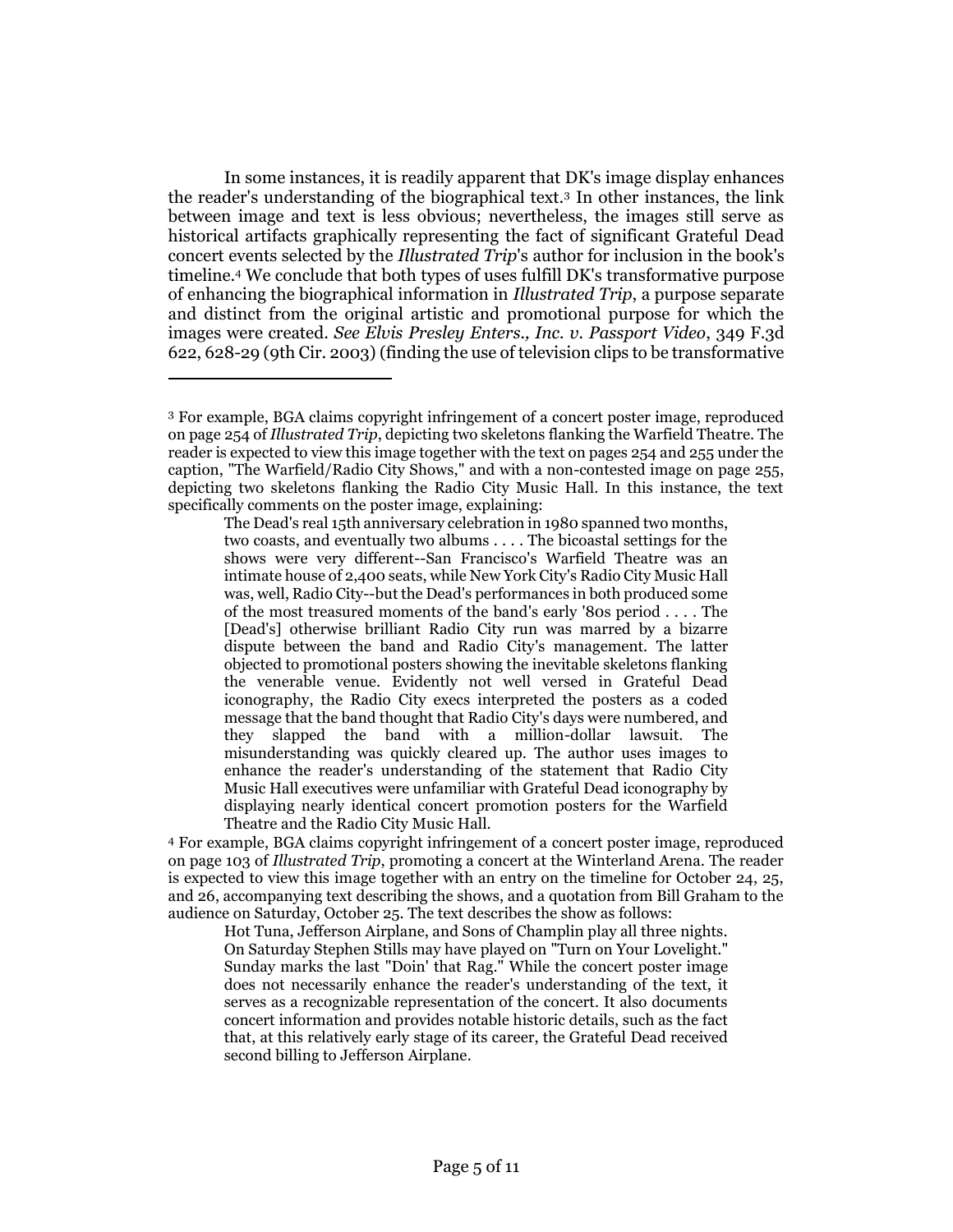In some instances, it is readily apparent that DK's image display enhances the reader's understanding of the biographical text.<sup>3</sup> In other instances, the link between image and text is less obvious; nevertheless, the images still serve as historical artifacts graphically representing the fact of significant Grateful Dead concert events selected by the *Illustrated Trip*'s author for inclusion in the book's timeline.<sup>4</sup> We conclude that both types of uses fulfill DK's transformative purpose of enhancing the biographical information in *Illustrated Trip*, a purpose separate and distinct from the original artistic and promotional purpose for which the images were created. *See Elvis Presley Enters., Inc. v. Passport Video*, 349 F.3d 622, 628-29 (9th Cir. 2003) (finding the use of television clips to be transformative

 $\overline{a}$ 

<sup>4</sup> For example, BGA claims copyright infringement of a concert poster image, reproduced on page 103 of *Illustrated Trip*, promoting a concert at the Winterland Arena. The reader is expected to view this image together with an entry on the timeline for October 24, 25, and 26, accompanying text describing the shows, and a quotation from Bill Graham to the audience on Saturday, October 25. The text describes the show as follows:

Hot Tuna, Jefferson Airplane, and Sons of Champlin play all three nights. On Saturday Stephen Stills may have played on "Turn on Your Lovelight." Sunday marks the last "Doin' that Rag." While the concert poster image does not necessarily enhance the reader's understanding of the text, it serves as a recognizable representation of the concert. It also documents concert information and provides notable historic details, such as the fact that, at this relatively early stage of its career, the Grateful Dead received second billing to Jefferson Airplane.

<sup>3</sup> For example, BGA claims copyright infringement of a concert poster image, reproduced on page 254 of *Illustrated Trip*, depicting two skeletons flanking the Warfield Theatre. The reader is expected to view this image together with the text on pages 254 and 255 under the caption, "The Warfield/Radio City Shows," and with a non-contested image on page 255, depicting two skeletons flanking the Radio City Music Hall. In this instance, the text specifically comments on the poster image, explaining:

The Dead's real 15th anniversary celebration in 1980 spanned two months, two coasts, and eventually two albums . . . . The bicoastal settings for the shows were very different--San Francisco's Warfield Theatre was an intimate house of 2,400 seats, while New York City's Radio City Music Hall was, well, Radio City--but the Dead's performances in both produced some of the most treasured moments of the band's early '80s period . . . . The [Dead's] otherwise brilliant Radio City run was marred by a bizarre dispute between the band and Radio City's management. The latter objected to promotional posters showing the inevitable skeletons flanking the venerable venue. Evidently not well versed in Grateful Dead iconography, the Radio City execs interpreted the posters as a coded message that the band thought that Radio City's days were numbered, and they slapped the band with a million-dollar lawsuit. The misunderstanding was quickly cleared up. The author uses images to enhance the reader's understanding of the statement that Radio City Music Hall executives were unfamiliar with Grateful Dead iconography by displaying nearly identical concert promotion posters for the Warfield Theatre and the Radio City Music Hall.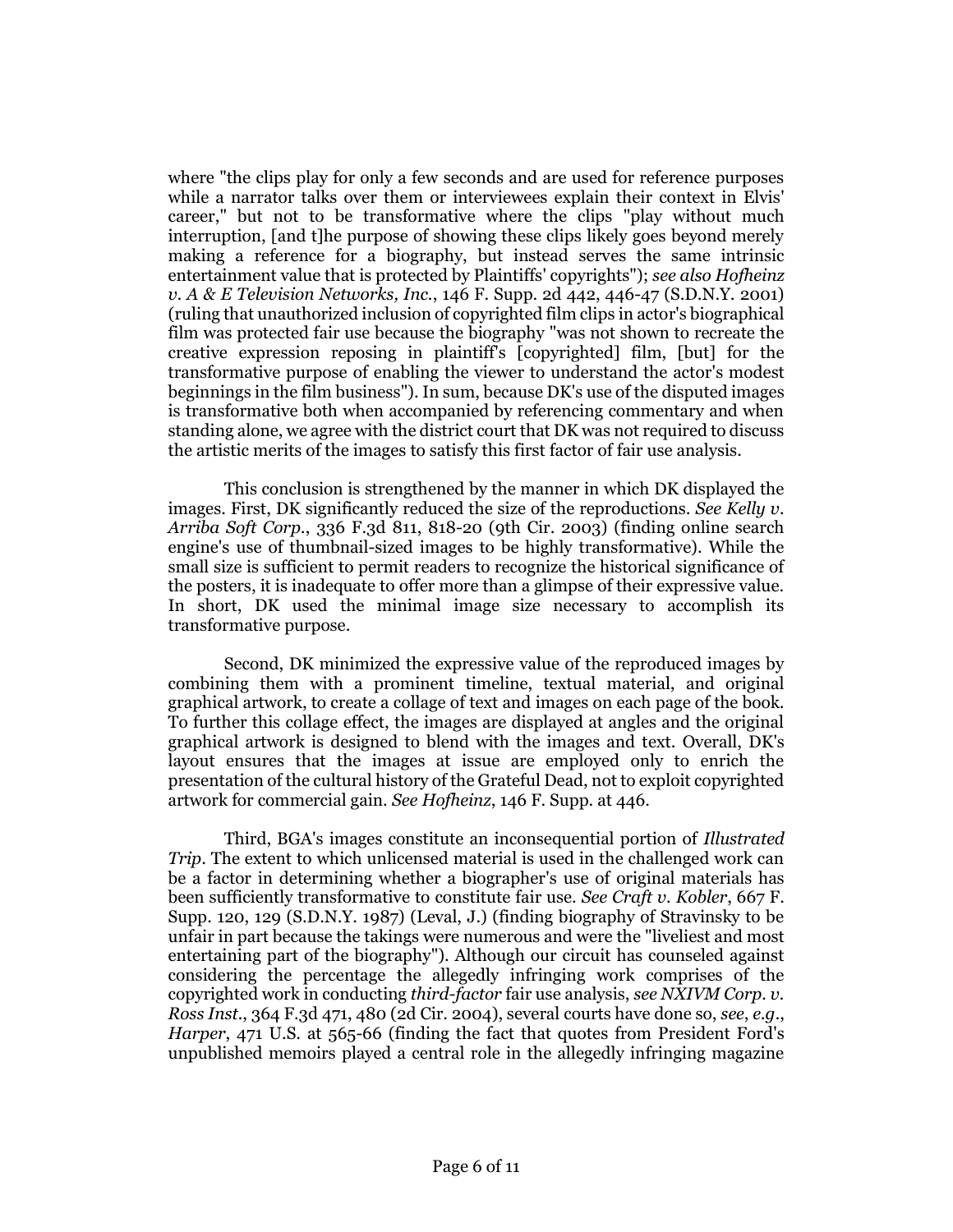where "the clips play for only a few seconds and are used for reference purposes while a narrator talks over them or interviewees explain their context in Elvis' career," but not to be transformative where the clips "play without much interruption, [and t]he purpose of showing these clips likely goes beyond merely making a reference for a biography, but instead serves the same intrinsic entertainment value that is protected by Plaintiffs' copyrights"); *see also Hofheinz v. A & E Television Networks, Inc.*, 146 F. Supp. 2d 442, 446-47 (S.D.N.Y. 2001) (ruling that unauthorized inclusion of copyrighted film clips in actor's biographical film was protected fair use because the biography "was not shown to recreate the creative expression reposing in plaintiff's [copyrighted] film, [but] for the transformative purpose of enabling the viewer to understand the actor's modest beginnings in the film business"). In sum, because DK's use of the disputed images is transformative both when accompanied by referencing commentary and when standing alone, we agree with the district court that DK was not required to discuss the artistic merits of the images to satisfy this first factor of fair use analysis.

This conclusion is strengthened by the manner in which DK displayed the images. First, DK significantly reduced the size of the reproductions. *See Kelly v. Arriba Soft Corp.*, 336 F.3d 811, 818-20 (9th Cir. 2003) (finding online search engine's use of thumbnail-sized images to be highly transformative). While the small size is sufficient to permit readers to recognize the historical significance of the posters, it is inadequate to offer more than a glimpse of their expressive value. In short, DK used the minimal image size necessary to accomplish its transformative purpose.

Second, DK minimized the expressive value of the reproduced images by combining them with a prominent timeline, textual material, and original graphical artwork, to create a collage of text and images on each page of the book. To further this collage effect, the images are displayed at angles and the original graphical artwork is designed to blend with the images and text. Overall, DK's layout ensures that the images at issue are employed only to enrich the presentation of the cultural history of the Grateful Dead, not to exploit copyrighted artwork for commercial gain. *See Hofheinz*, 146 F. Supp. at 446.

Third, BGA's images constitute an inconsequential portion of *Illustrated Trip*. The extent to which unlicensed material is used in the challenged work can be a factor in determining whether a biographer's use of original materials has been sufficiently transformative to constitute fair use. *See Craft v. Kobler*, 667 F. Supp. 120, 129 (S.D.N.Y. 1987) (Leval, J.) (finding biography of Stravinsky to be unfair in part because the takings were numerous and were the "liveliest and most entertaining part of the biography"). Although our circuit has counseled against considering the percentage the allegedly infringing work comprises of the copyrighted work in conducting *third-factor* fair use analysis, *see NXIVM Corp. v. Ross Inst.*, 364 F.3d 471, 480 (2d Cir. 2004), several courts have done so, *see*, *e.g.*, *Harper*, 471 U.S. at 565-66 (finding the fact that quotes from President Ford's unpublished memoirs played a central role in the allegedly infringing magazine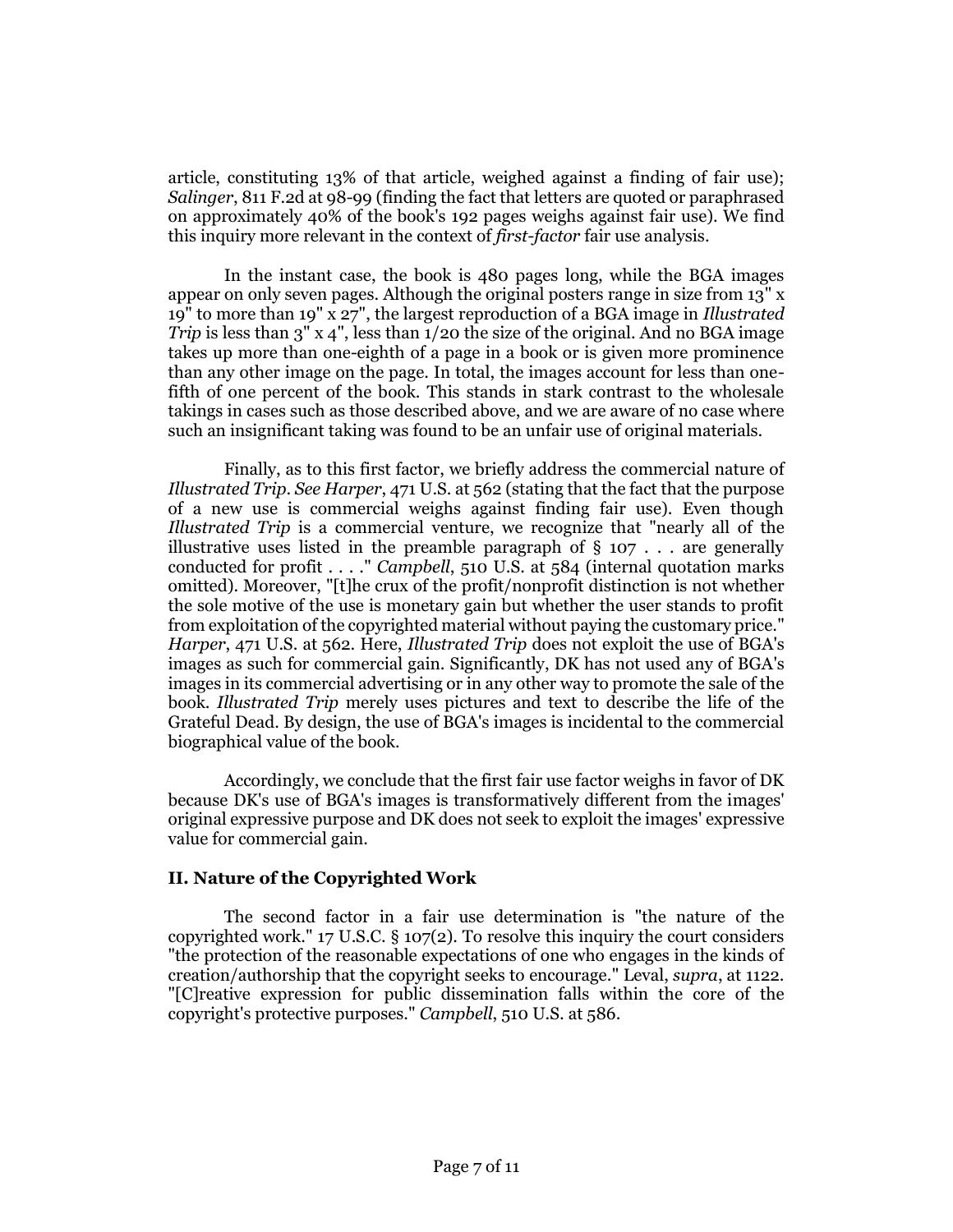article, constituting 13% of that article, weighed against a finding of fair use); *Salinger*, 811 F.2d at 98-99 (finding the fact that letters are quoted or paraphrased on approximately 40% of the book's 192 pages weighs against fair use). We find this inquiry more relevant in the context of *first-factor* fair use analysis.

In the instant case, the book is 480 pages long, while the BGA images appear on only seven pages. Although the original posters range in size from 13" x 19" to more than 19" x 27", the largest reproduction of a BGA image in *Illustrated Trip* is less than 3" x 4", less than 1/20 the size of the original. And no BGA image takes up more than one-eighth of a page in a book or is given more prominence than any other image on the page. In total, the images account for less than onefifth of one percent of the book. This stands in stark contrast to the wholesale takings in cases such as those described above, and we are aware of no case where such an insignificant taking was found to be an unfair use of original materials.

Finally, as to this first factor, we briefly address the commercial nature of *Illustrated Trip*. *See Harper*, 471 U.S. at 562 (stating that the fact that the purpose of a new use is commercial weighs against finding fair use). Even though *Illustrated Trip* is a commercial venture, we recognize that "nearly all of the illustrative uses listed in the preamble paragraph of  $\S$  107... are generally conducted for profit . . . ." *Campbell*, 510 U.S. at 584 (internal quotation marks omitted). Moreover, "[t]he crux of the profit/nonprofit distinction is not whether the sole motive of the use is monetary gain but whether the user stands to profit from exploitation of the copyrighted material without paying the customary price." *Harper*, 471 U.S. at 562. Here, *Illustrated Trip* does not exploit the use of BGA's images as such for commercial gain. Significantly, DK has not used any of BGA's images in its commercial advertising or in any other way to promote the sale of the book. *Illustrated Trip* merely uses pictures and text to describe the life of the Grateful Dead. By design, the use of BGA's images is incidental to the commercial biographical value of the book.

Accordingly, we conclude that the first fair use factor weighs in favor of DK because DK's use of BGA's images is transformatively different from the images' original expressive purpose and DK does not seek to exploit the images' expressive value for commercial gain.

# **II. Nature of the Copyrighted Work**

The second factor in a fair use determination is "the nature of the copyrighted work."  $17 \text{ U.S.C.}$  §  $107(2)$ . To resolve this inquiry the court considers "the protection of the reasonable expectations of one who engages in the kinds of creation/authorship that the copyright seeks to encourage." Leval, *supra*, at 1122. "[C]reative expression for public dissemination falls within the core of the copyright's protective purposes." *Campbell*, 510 U.S. at 586.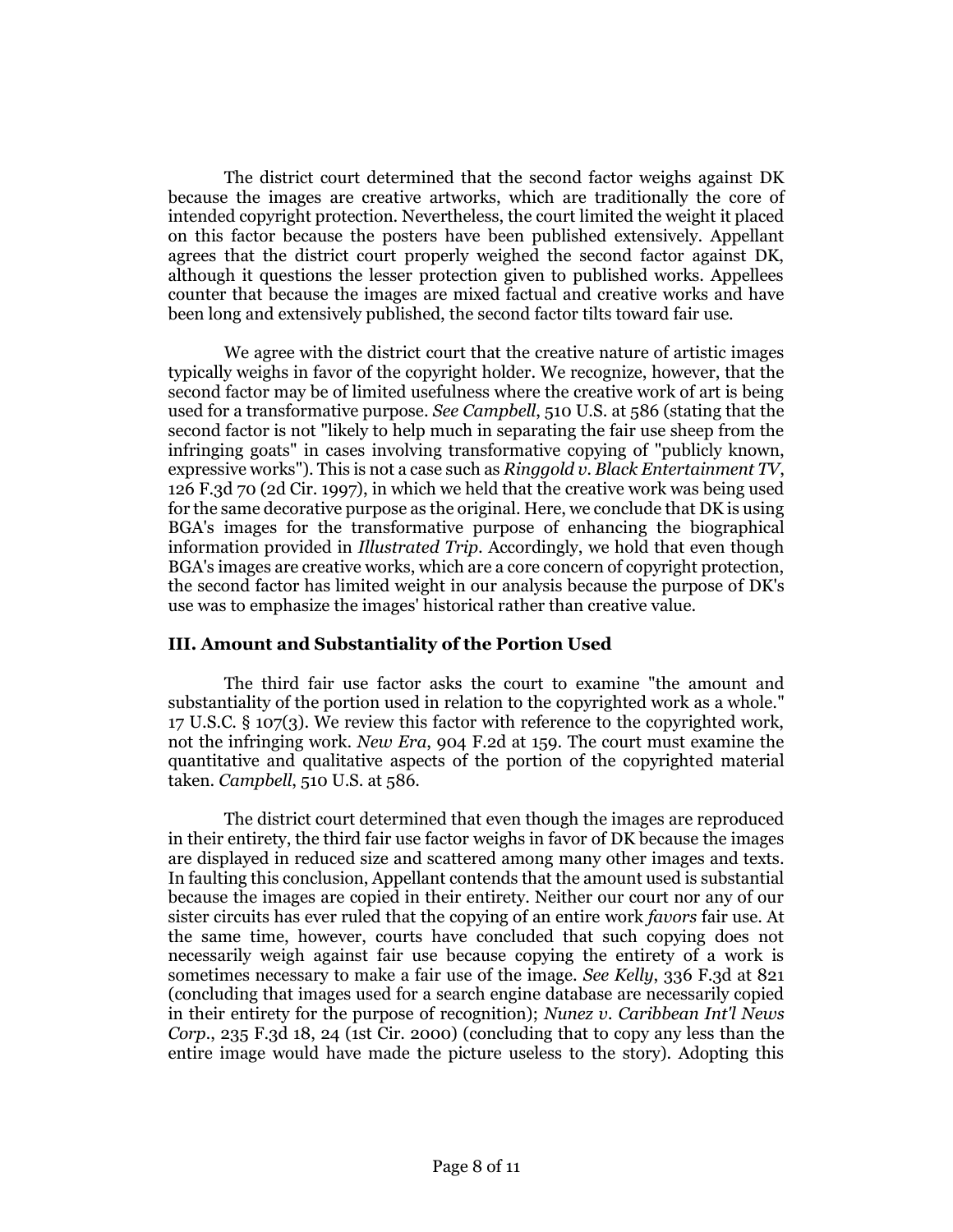The district court determined that the second factor weighs against DK because the images are creative artworks, which are traditionally the core of intended copyright protection. Nevertheless, the court limited the weight it placed on this factor because the posters have been published extensively. Appellant agrees that the district court properly weighed the second factor against DK, although it questions the lesser protection given to published works. Appellees counter that because the images are mixed factual and creative works and have been long and extensively published, the second factor tilts toward fair use.

We agree with the district court that the creative nature of artistic images typically weighs in favor of the copyright holder. We recognize, however, that the second factor may be of limited usefulness where the creative work of art is being used for a transformative purpose. *See Campbell*, 510 U.S. at 586 (stating that the second factor is not "likely to help much in separating the fair use sheep from the infringing goats" in cases involving transformative copying of "publicly known, expressive works"). This is not a case such as *Ringgold v. Black Entertainment TV*, 126 F.3d 70 (2d Cir. 1997), in which we held that the creative work was being used for the same decorative purpose as the original. Here, we conclude that DK is using BGA's images for the transformative purpose of enhancing the biographical information provided in *Illustrated Trip*. Accordingly, we hold that even though BGA's images are creative works, which are a core concern of copyright protection, the second factor has limited weight in our analysis because the purpose of DK's use was to emphasize the images' historical rather than creative value.

# **III. Amount and Substantiality of the Portion Used**

The third fair use factor asks the court to examine "the amount and substantiality of the portion used in relation to the copyrighted work as a whole." 17 U.S.C. § 107(3). We review this factor with reference to the copyrighted work, not the infringing work. *New Era*, 904 F.2d at 159. The court must examine the quantitative and qualitative aspects of the portion of the copyrighted material taken. *Campbell*, 510 U.S. at 586.

The district court determined that even though the images are reproduced in their entirety, the third fair use factor weighs in favor of DK because the images are displayed in reduced size and scattered among many other images and texts. In faulting this conclusion, Appellant contends that the amount used is substantial because the images are copied in their entirety. Neither our court nor any of our sister circuits has ever ruled that the copying of an entire work *favors* fair use. At the same time, however, courts have concluded that such copying does not necessarily weigh against fair use because copying the entirety of a work is sometimes necessary to make a fair use of the image. *See Kelly*, 336 F.3d at 821 (concluding that images used for a search engine database are necessarily copied in their entirety for the purpose of recognition); *Nunez v. Caribbean Int'l News Corp.*, 235 F.3d 18, 24 (1st Cir. 2000) (concluding that to copy any less than the entire image would have made the picture useless to the story). Adopting this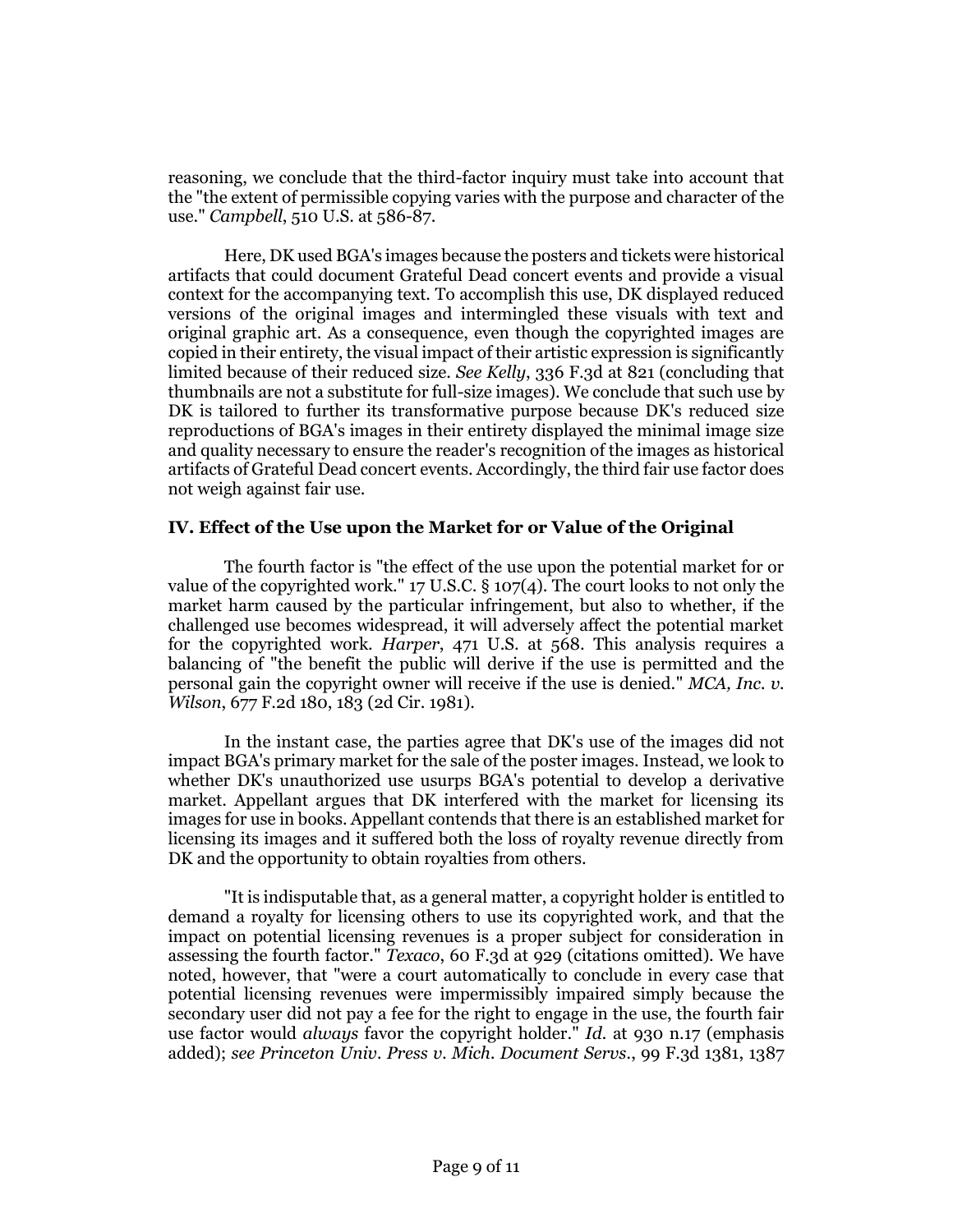reasoning, we conclude that the third-factor inquiry must take into account that the "the extent of permissible copying varies with the purpose and character of the use." *Campbell*, 510 U.S. at 586-87.

Here, DK used BGA's images because the posters and tickets were historical artifacts that could document Grateful Dead concert events and provide a visual context for the accompanying text. To accomplish this use, DK displayed reduced versions of the original images and intermingled these visuals with text and original graphic art. As a consequence, even though the copyrighted images are copied in their entirety, the visual impact of their artistic expression is significantly limited because of their reduced size. *See Kelly*, 336 F.3d at 821 (concluding that thumbnails are not a substitute for full-size images). We conclude that such use by DK is tailored to further its transformative purpose because DK's reduced size reproductions of BGA's images in their entirety displayed the minimal image size and quality necessary to ensure the reader's recognition of the images as historical artifacts of Grateful Dead concert events. Accordingly, the third fair use factor does not weigh against fair use.

#### **IV. Effect of the Use upon the Market for or Value of the Original**

The fourth factor is "the effect of the use upon the potential market for or value of the copyrighted work." 17 U.S.C. § 107(4). The court looks to not only the market harm caused by the particular infringement, but also to whether, if the challenged use becomes widespread, it will adversely affect the potential market for the copyrighted work. *Harper*, 471 U.S. at 568. This analysis requires a balancing of "the benefit the public will derive if the use is permitted and the personal gain the copyright owner will receive if the use is denied." *MCA, Inc. v. Wilson*, 677 F.2d 180, 183 (2d Cir. 1981).

In the instant case, the parties agree that DK's use of the images did not impact BGA's primary market for the sale of the poster images. Instead, we look to whether DK's unauthorized use usurps BGA's potential to develop a derivative market. Appellant argues that DK interfered with the market for licensing its images for use in books. Appellant contends that there is an established market for licensing its images and it suffered both the loss of royalty revenue directly from DK and the opportunity to obtain royalties from others.

"It is indisputable that, as a general matter, a copyright holder is entitled to demand a royalty for licensing others to use its copyrighted work, and that the impact on potential licensing revenues is a proper subject for consideration in assessing the fourth factor." *Texaco*, 60 F.3d at 929 (citations omitted). We have noted, however, that "were a court automatically to conclude in every case that potential licensing revenues were impermissibly impaired simply because the secondary user did not pay a fee for the right to engage in the use, the fourth fair use factor would *always* favor the copyright holder." *Id.* at 930 n.17 (emphasis added); *see Princeton Univ. Press v. Mich. Document Servs.*, 99 F.3d 1381, 1387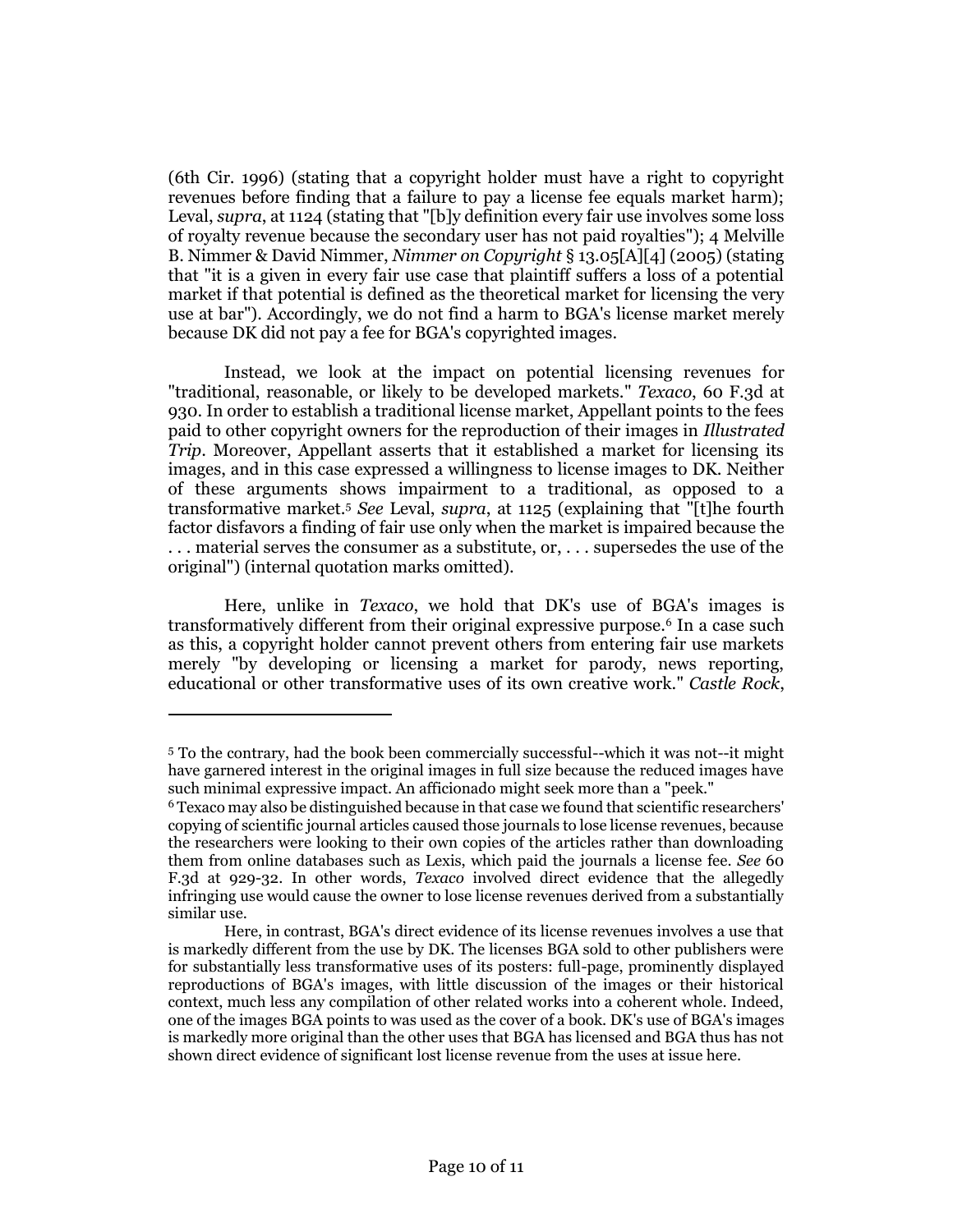(6th Cir. 1996) (stating that a copyright holder must have a right to copyright revenues before finding that a failure to pay a license fee equals market harm); Leval, *supra*, at 1124 (stating that "[b]y definition every fair use involves some loss of royalty revenue because the secondary user has not paid royalties"); 4 Melville B. Nimmer & David Nimmer, *Nimmer on Copyright* § 13.05[A][4] (2005) (stating that "it is a given in every fair use case that plaintiff suffers a loss of a potential market if that potential is defined as the theoretical market for licensing the very use at bar"). Accordingly, we do not find a harm to BGA's license market merely because DK did not pay a fee for BGA's copyrighted images.

Instead, we look at the impact on potential licensing revenues for "traditional, reasonable, or likely to be developed markets." *Texaco*, 60 F.3d at 930. In order to establish a traditional license market, Appellant points to the fees paid to other copyright owners for the reproduction of their images in *Illustrated Trip*. Moreover, Appellant asserts that it established a market for licensing its images, and in this case expressed a willingness to license images to DK. Neither of these arguments shows impairment to a traditional, as opposed to a transformative market.<sup>5</sup> *See* Leval, *supra*, at 1125 (explaining that "[t]he fourth factor disfavors a finding of fair use only when the market is impaired because the . . . material serves the consumer as a substitute, or, . . . supersedes the use of the original") (internal quotation marks omitted).

Here, unlike in *Texaco*, we hold that DK's use of BGA's images is transformatively different from their original expressive purpose.<sup>6</sup> In a case such as this, a copyright holder cannot prevent others from entering fair use markets merely "by developing or licensing a market for parody, news reporting, educational or other transformative uses of its own creative work." *Castle Rock*,

 $\overline{a}$ 

<sup>5</sup> To the contrary, had the book been commercially successful--which it was not--it might have garnered interest in the original images in full size because the reduced images have such minimal expressive impact. An afficionado might seek more than a "peek."

<sup>6</sup> Texaco may also be distinguished because in that case we found that scientific researchers' copying of scientific journal articles caused those journals to lose license revenues, because the researchers were looking to their own copies of the articles rather than downloading them from online databases such as Lexis, which paid the journals a license fee. *See* 60 F.3d at 929-32. In other words, *Texaco* involved direct evidence that the allegedly infringing use would cause the owner to lose license revenues derived from a substantially similar use.

Here, in contrast, BGA's direct evidence of its license revenues involves a use that is markedly different from the use by DK. The licenses BGA sold to other publishers were for substantially less transformative uses of its posters: full-page, prominently displayed reproductions of BGA's images, with little discussion of the images or their historical context, much less any compilation of other related works into a coherent whole. Indeed, one of the images BGA points to was used as the cover of a book. DK's use of BGA's images is markedly more original than the other uses that BGA has licensed and BGA thus has not shown direct evidence of significant lost license revenue from the uses at issue here.